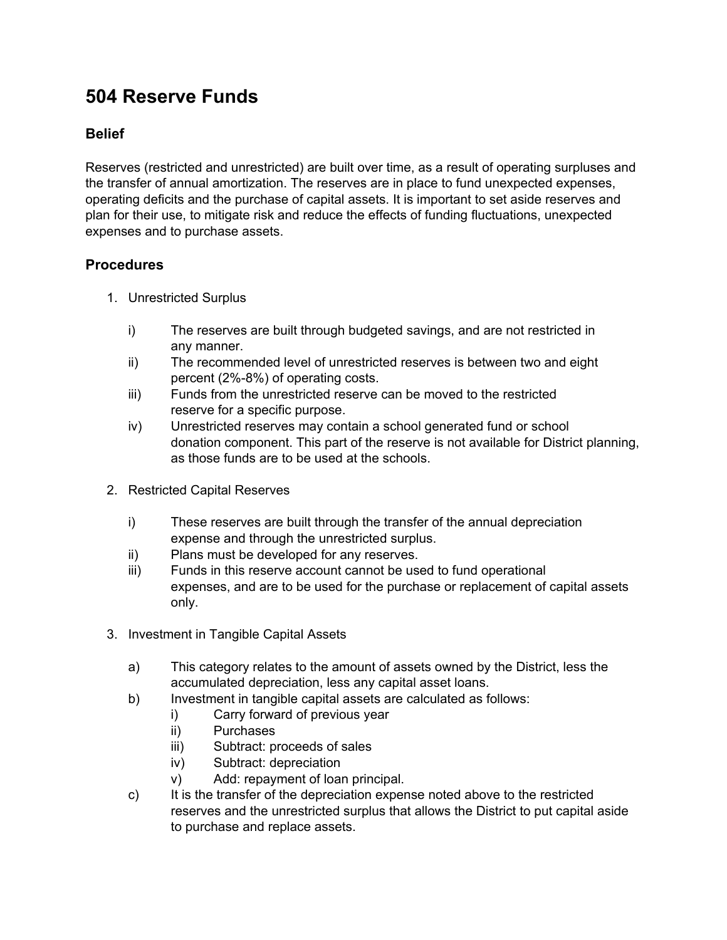## **504 Reserve Funds**

## **Belief**

Reserves (restricted and unrestricted) are built over time, as a result of operating surpluses and the transfer of annual amortization. The reserves are in place to fund unexpected expenses, operating deficits and the purchase of capital assets. It is important to set aside reserves and plan for their use, to mitigate risk and reduce the effects of funding fluctuations, unexpected expenses and to purchase assets.

## **Procedures**

- 1. Unrestricted Surplus
	- i) The reserves are built through budgeted savings, and are not restricted in any manner.
	- ii) The recommended level of unrestricted reserves is between two and eight percent (2%-8%) of operating costs.
	- iii) Funds from the unrestricted reserve can be moved to the restricted reserve for a specific purpose.
	- iv) Unrestricted reserves may contain a school generated fund or school donation component. This part of the reserve is not available for District planning, as those funds are to be used at the schools.
- 2. Restricted Capital Reserves
	- i) These reserves are built through the transfer of the annual depreciation expense and through the unrestricted surplus.
	- ii) Plans must be developed for any reserves.
	- iii) Funds in this reserve account cannot be used to fund operational expenses, and are to be used for the purchase or replacement of capital assets only.
- 3. Investment in Tangible Capital Assets
	- a) This category relates to the amount of assets owned by the District, less the accumulated depreciation, less any capital asset loans.
	- b) Investment in tangible capital assets are calculated as follows:
		- i) Carry forward of previous year
		- ii) Purchases
		- iii) Subtract: proceeds of sales
		- iv) Subtract: depreciation
		- v) Add: repayment of loan principal.
	- c) It is the transfer of the depreciation expense noted above to the restricted reserves and the unrestricted surplus that allows the District to put capital aside to purchase and replace assets.